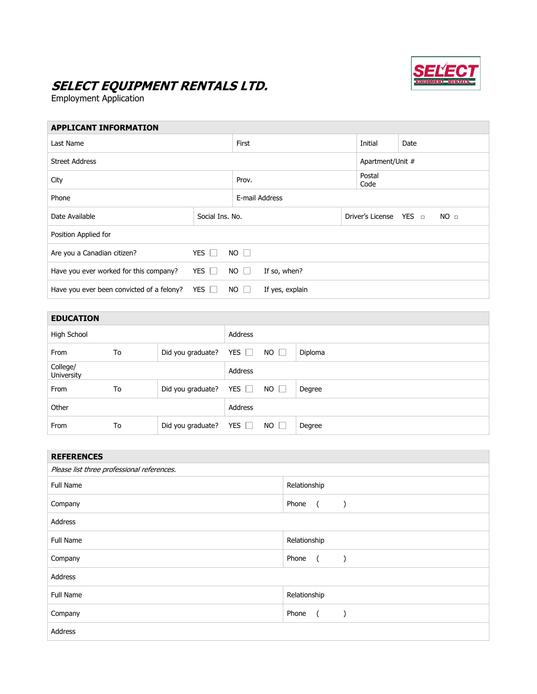

## **SELECT EQUIPMENT RENTALS LTD.**

Employment Application

| <b>APPLICANT INFORMATION</b>              |                 |             |                 |                  |                  |                 |  |  |
|-------------------------------------------|-----------------|-------------|-----------------|------------------|------------------|-----------------|--|--|
| Last Name                                 |                 |             | First           |                  |                  | Date            |  |  |
| <b>Street Address</b>                     |                 |             |                 |                  | Apartment/Unit # |                 |  |  |
| City                                      |                 |             | Prov.           |                  |                  | Postal<br>Code  |  |  |
| Phone                                     |                 |             | E-mail Address  |                  |                  |                 |  |  |
| Date Available                            | Social Ins. No. |             |                 | Driver's License | YES ⊓            | NO <sub>□</sub> |  |  |
| Position Applied for                      |                 |             |                 |                  |                  |                 |  |  |
| Are you a Canadian citizen?               | YES $\Box$      | $NO$ $\Box$ |                 |                  |                  |                 |  |  |
| Have you ever worked for this company?    | YES $\Box$      | $NO$ $\Box$ | If so, when?    |                  |                  |                 |  |  |
| Have you ever been convicted of a felony? | YES $\Box$      | $NO$ $\Box$ | If yes, explain |                  |                  |                 |  |  |
|                                           |                 |             |                 |                  |                  |                 |  |  |

| <b>EDUCATION</b>       |    |                   |            |             |         |
|------------------------|----|-------------------|------------|-------------|---------|
| High School            |    |                   | Address    |             |         |
| <b>From</b>            | To | Did you graduate? | YES $\Box$ | $NO \Box$   | Diploma |
| College/<br>University |    |                   | Address    |             |         |
| From                   | To | Did you graduate? | YES $\Box$ | $NO$ $\Box$ | Degree  |
| Other                  |    |                   | Address    |             |         |
| From                   | To | Did you graduate? | YES $\Box$ | $NO$ $\Box$ | Degree  |

| <b>REFERENCES</b>                          |                                          |  |  |  |
|--------------------------------------------|------------------------------------------|--|--|--|
| Please list three professional references. |                                          |  |  |  |
| Full Name                                  | Relationship                             |  |  |  |
| Company                                    | Phone<br>$\overline{a}$<br>$\mathcal{E}$ |  |  |  |
| Address                                    |                                          |  |  |  |
| Full Name                                  | Relationship                             |  |  |  |
| Company                                    | Phone<br>$\overline{a}$<br>$\rightarrow$ |  |  |  |
| Address                                    |                                          |  |  |  |
| Full Name                                  | Relationship                             |  |  |  |
| Company                                    | Phone<br>$\overline{a}$<br>$\lambda$     |  |  |  |
| Address                                    |                                          |  |  |  |